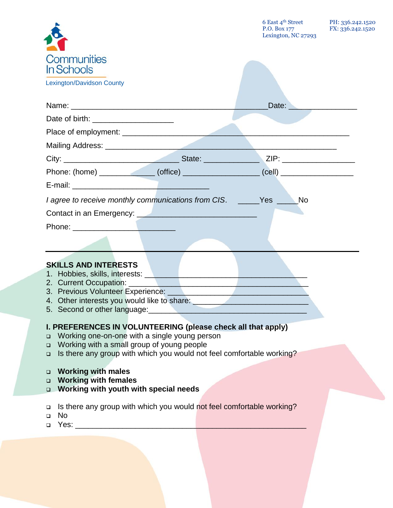|                                                                                                                |  | 6 East 4th Street PH: 336.242.1520<br>P.O. Box 177 FX: 336.242.1520<br>Lexington, NC 27293 |  |  |
|----------------------------------------------------------------------------------------------------------------|--|--------------------------------------------------------------------------------------------|--|--|
| <b>Communities</b><br>In Schools                                                                               |  |                                                                                            |  |  |
| <b>Lexington/Davidson County</b>                                                                               |  |                                                                                            |  |  |
|                                                                                                                |  | Date: Date:                                                                                |  |  |
| Date of birth: ____________________                                                                            |  |                                                                                            |  |  |
|                                                                                                                |  |                                                                                            |  |  |
|                                                                                                                |  |                                                                                            |  |  |
|                                                                                                                |  | ZIP: __________________                                                                    |  |  |
| Phone: (home) _______________(office) ___________________(cell) ________________                               |  |                                                                                            |  |  |
|                                                                                                                |  |                                                                                            |  |  |
| I agree to receive monthly communications from CIS. ______Yes _____No                                          |  |                                                                                            |  |  |
|                                                                                                                |  |                                                                                            |  |  |
|                                                                                                                |  |                                                                                            |  |  |
|                                                                                                                |  |                                                                                            |  |  |
|                                                                                                                |  |                                                                                            |  |  |
| <b>SKILLS AND INTERESTS</b>                                                                                    |  |                                                                                            |  |  |
| 1. Hobbies, skills, interests: Network and the material and the material and the material and the material and |  |                                                                                            |  |  |
| 2. Current Occupation: ______<br>3. Previous Volunteer Experience: _______                                     |  |                                                                                            |  |  |
| 4. Other interests you would like to share:                                                                    |  |                                                                                            |  |  |
| 5. Second or other language:                                                                                   |  |                                                                                            |  |  |
| I. PREFERENCES IN VOLUNTEERING (please check all that apply)                                                   |  |                                                                                            |  |  |
| Working one-on-one with a single young person<br>□                                                             |  |                                                                                            |  |  |
| Working with a small group of young people<br>$\Box$                                                           |  |                                                                                            |  |  |
| Is there any group with which you would not feel comfortable working?<br>$\Box$                                |  |                                                                                            |  |  |
| <b>Working with males</b><br>❏                                                                                 |  |                                                                                            |  |  |
| <b>Working with females</b><br>$\Box$                                                                          |  |                                                                                            |  |  |
| Working with youth with special needs<br>$\Box$                                                                |  |                                                                                            |  |  |
| Is there any group with which you would not feel comfortable working?<br>❏                                     |  |                                                                                            |  |  |

- No
- $\Box$  Yes:  $\Box$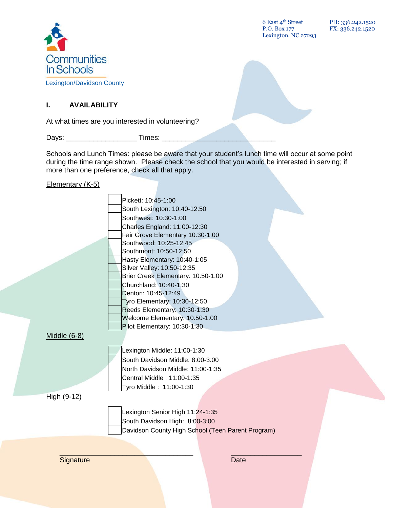

6 East 4th Street P.O. Box 177 Lexington, NC 27293 PH: 336.242.1520 FX: 336.242.1520

# **I. AVAILABILITY**

At what times are you interested in volunteering?

Days: \_\_\_\_\_\_\_\_\_\_\_\_\_\_\_\_\_\_ Times: \_\_\_\_\_\_\_\_\_\_\_\_\_\_\_\_\_\_\_\_\_\_\_\_\_\_\_\_\_

Schools and Lunch Times: please be aware that your student's lunch time will occur at some point during the time range shown. Please check the school that you would be interested in serving; if more than one preference, check all that apply.

Elementary (K-5)

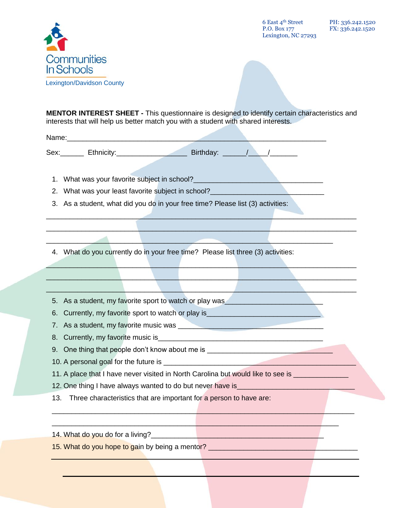

6 East 4th Street P.O. Box 177 Lexington, NC 27293

**MENTOR INTEREST SHEET -** This questionnaire is designed to identify certain characteristics and interests that will help us better match you with a student with shared interests.

 $\mathcal{L}_\text{max}$  , and the contract of the contract of the contract of the contract of the contract of the contract of \_\_\_\_\_\_\_\_\_\_\_\_\_\_\_\_\_\_\_\_\_\_\_\_\_\_\_\_\_\_\_\_\_\_\_\_\_\_\_\_\_\_\_\_\_\_\_\_\_\_\_\_\_\_\_\_\_\_\_\_\_\_\_\_\_\_\_\_\_\_\_\_\_\_\_\_\_\_\_

 $\mathcal{L}_\text{max}$  and  $\mathcal{L}_\text{max}$  and  $\mathcal{L}_\text{max}$  and  $\mathcal{L}_\text{max}$  and  $\mathcal{L}_\text{max}$  and  $\mathcal{L}_\text{max}$  $\_$  , and the set of the set of the set of the set of the set of the set of the set of the set of the set of the set of the set of the set of the set of the set of the set of the set of the set of the set of the set of th  $\mathcal{L}_\text{max}$  and the contribution of the contribution of the contribution of the contribution of the contribution of the contribution of the contribution of the contribution of the contribution of the contribution of the

\_\_\_\_\_\_\_\_\_\_\_\_\_\_\_\_\_\_\_\_\_\_\_\_\_\_\_\_\_\_\_\_\_\_\_\_\_\_\_\_\_\_\_\_\_\_\_\_\_\_\_\_\_\_\_\_\_\_\_\_\_\_\_\_\_\_\_\_\_\_\_\_\_\_\_\_\_

\_\_\_\_\_\_\_\_\_\_\_\_\_\_\_\_\_\_\_\_\_\_\_\_\_\_\_\_\_\_\_\_\_\_\_\_\_\_\_\_\_\_\_\_\_\_\_\_\_\_\_\_\_\_\_\_\_\_\_\_\_\_\_\_\_\_\_\_\_\_\_\_\_

 $\mathcal{L} = \{ \mathcal{L} \mid \mathcal{L} \in \mathcal{L} \}$  , where  $\mathcal{L} = \{ \mathcal{L} \mid \mathcal{L} \in \mathcal{L} \}$  , where  $\mathcal{L} = \{ \mathcal{L} \mid \mathcal{L} \in \mathcal{L} \}$ 

Name:\_\_\_\_\_\_\_\_\_\_\_\_\_\_\_\_\_\_\_\_\_\_\_\_\_\_\_\_\_\_\_\_\_\_\_\_\_\_\_\_\_\_\_\_\_\_\_\_\_\_\_\_\_\_\_\_\_\_\_\_\_\_\_\_\_\_

Sex: Ethnicity: Ethnicity: Birthday:  $\begin{array}{ccccccc} & & & & \end{array}$ 

- 1. What was your favorite subject in school?
- 2. What was your least favorite subject in school?
- 3. As a student, what did you do in your free time? Please list (3) activities:

4. What do you currently do in your free time? Please list three (3) activities:

- 5. As a student, my favorite sport to watch or play was
- 6. Currently, my favorite sport to watch or play is\_\_\_\_\_\_\_\_\_\_\_\_\_\_\_\_\_\_\_\_\_\_\_\_\_\_\_\_\_
- 7. As a student, my favorite music was \_\_\_\_\_\_\_\_\_\_\_\_\_\_\_\_\_\_\_\_\_\_\_\_\_\_\_\_\_\_\_\_\_\_\_\_\_
- 8. Currently, my favorite music is
- 9. One thing that people don't know about me is \_\_\_\_\_\_\_\_\_\_\_\_\_\_\_\_\_\_\_\_\_\_\_\_\_\_\_\_\_\_\_\_
- 10. A personal goal for the future is
- 11. A place that I have never visited in North Carolina but would like to see is \_\_\_\_\_\_\_\_\_\_\_
- 12. One thing I have always wanted to do but never have is
- 13. Three characteristics that are important for a person to have are:
- 14. What do you do for a living?\_\_\_\_\_\_\_\_\_\_\_\_\_\_\_\_\_\_\_\_\_\_\_\_\_\_\_\_\_\_\_\_\_\_\_\_\_\_\_\_\_\_\_\_
- 15. What do you hope to gain by being a mentor? \_\_\_\_\_\_\_\_\_\_\_\_\_\_\_\_\_\_\_\_\_\_\_\_\_\_\_\_\_\_\_\_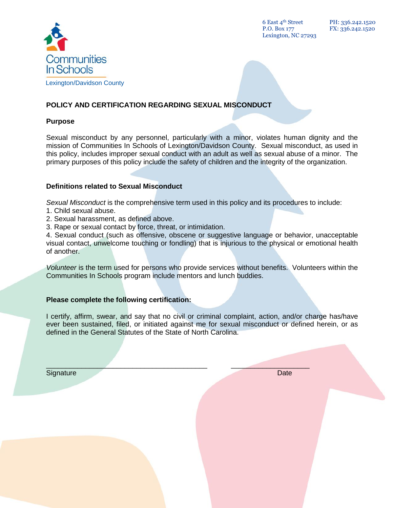

6 East 4th Street P.O. Box 177 Lexington, NC 27293

# **POLICY AND CERTIFICATION REGARDING SEXUAL MISCONDUCT**

#### **Purpose**

Sexual misconduct by any personnel, particularly with a minor, violates human dignity and the mission of Communities In Schools of Lexington/Davidson County. Sexual misconduct, as used in this policy, includes improper sexual conduct with an adult as well as sexual abuse of a minor. The primary purposes of this policy include the safety of children and the integrity of the organization.

#### **Definitions related to Sexual Misconduct**

Sexual Misconduct is the comprehensive term used in this policy and its procedures to include:

- 1. Child sexual abuse.
- 2. Sexual harassment, as defined above.
- 3. Rape or sexual contact by force, threat, or intimidation.

4. Sexual conduct (such as offensive, obscene or suggestive language or behavior, unacceptable visual contact, unwelcome touching or fondling) that is injurious to the physical or emotional health of another.

*Volunteer* is the term used for persons who provide services without benefits. Volunteers within the Communities In Schools program include mentors and lunch buddies.

### **Please complete the following certification:**

I certify, affirm, swear, and say that no civil or criminal complaint, action, and/or charge has/have ever been sustained, filed, or initiated against me for sexual misconduct or defined herein, or as defined in the General Statutes of the State of North Carolina.

 $\mathcal{L} = \{ \mathcal{L} \mid \mathcal{L} \in \mathcal{L} \}$  , where  $\mathcal{L} = \{ \mathcal{L} \mid \mathcal{L} \in \mathcal{L} \}$  , where  $\mathcal{L} = \{ \mathcal{L} \mid \mathcal{L} \in \mathcal{L} \}$ 

Signature Date